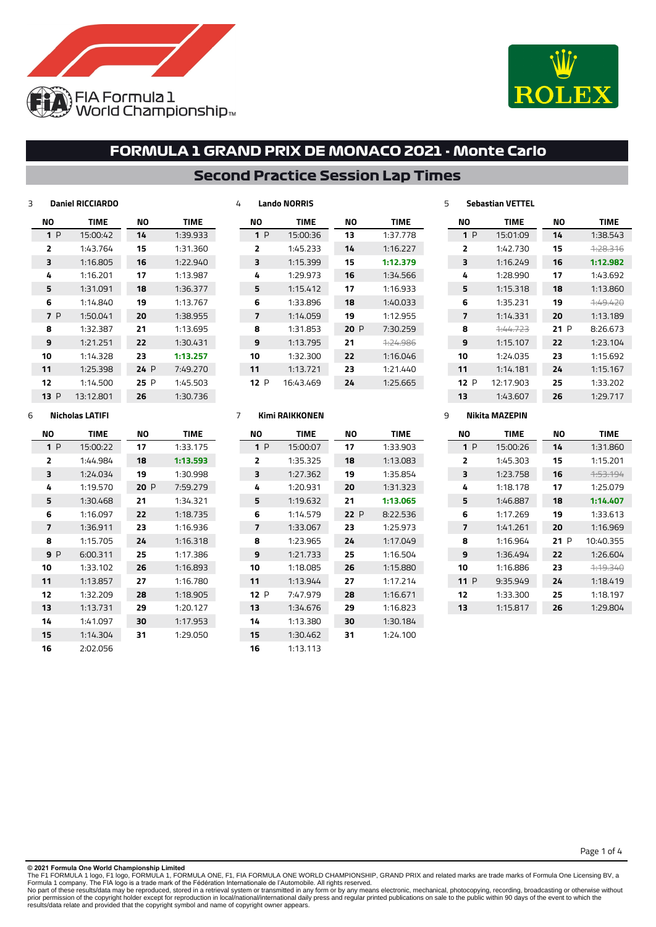



### **Second Practice Session Lap Times**

| 3 |              | <b>Daniel RICCIARDO</b> |      |             | 4 |                | <b>Lando NORRIS</b> |     |             | 5 |                | <b>Sebastian VETTEL</b> |     |             |
|---|--------------|-------------------------|------|-------------|---|----------------|---------------------|-----|-------------|---|----------------|-------------------------|-----|-------------|
|   | ΝO           | <b>TIME</b>             | ΝO   | <b>TIME</b> |   | ΝO             | <b>TIME</b>         | ΝO  | <b>TIME</b> |   | ΝO             | <b>TIME</b>             | ΝO  | <b>TIME</b> |
|   | 1P           | 15:00:42                | 14   | 1:39.933    |   | 1P             | 15:00:36            | 13  | 1:37.778    |   | 1P             | 15:01:09                | 14  | 1:38.543    |
|   | $\mathbf{z}$ | 1:43.764                | 15   | 1:31.360    |   | $\overline{2}$ | 1:45.233            | 14  | 1:16.227    |   | 2              | 1:42.730                | 15  | 4:28.316    |
|   | 3            | 1:16.805                | 16   | 1:22.940    |   | 3              | 1:15.399            | 15  | 1:12.379    |   | 3              | 1:16.249                | 16  | 1:12.982    |
|   | 4            | 1:16.201                | 17   | 1:13.987    |   | 4              | 1:29.973            | 16  | 1:34.566    |   | 4              | 1:28.990                | 17  | 1:43.692    |
|   | 5            | 1:31.091                | 18   | 1:36.377    |   | 5              | 1:15.412            | 17  | 1:16.933    |   | 5              | 1:15.318                | 18  | 1:13.860    |
|   | 6            | 1:14.840                | 19   | 1:13.767    |   | 6              | 1:33.896            | 18  | 1:40.033    |   | 6              | 1:35.231                | 19  | 4:49.420    |
|   | <b>7</b> P   | 1:50.041                | 20   | 1:38.955    |   | 7              | 1:14.059            | 19  | 1:12.955    |   | $\overline{ }$ | 1:14.331                | 20  | 1:13.189    |
|   | 8            | 1:32.387                | 21   | 1:13.695    |   | 8              | 1:31.853            | 20P | 7:30.259    |   | 8              | 1:44.723                | 21P | 8:26.673    |
|   | 9            | 1:21.251                | 22   | 1:30.431    |   | 9              | 1:13.795            | 21  | 4:24.986    |   | 9              | 1:15.107                | 22  | 1:23.104    |
|   | 10           | 1:14.328                | 23   | 1:13.257    |   | 10             | 1:32.300            | 22  | 1:16.046    |   | 10             | 1:24.035                | 23  | 1:15.692    |
|   | 11           | 1:25.398                | 24 P | 7:49.270    |   | 11             | 1:13.721            | 23  | 1:21.440    |   | 11             | 1:14.181                | 24  | 1:15.167    |
|   | 12           | 1:14.500                | 25P  | 1:45.503    |   | 12P            | 16:43.469           | 24  | 1:25.665    |   | 12P            | 12:17.903               | 25  | 1:33.202    |
|   | 13P          | 13:12.801               | 26   | 1:30.736    |   |                |                     |     |             |   | 13             | 1:43.607                | 26  | 1:29.717    |

### **Nicholas LATIFI**

| NΟ  | <b>TIME</b> | NΟ  | <b>TIME</b> |
|-----|-------------|-----|-------------|
| 1P  | 15:00:22    | 17  | 1:33.175    |
| 2   | 1:44.984    | 18  | 1:13.593    |
| 3   | 1:24.034    | 19  | 1:30.998    |
| 4   | 1:19.570    | 20P | 7:59.279    |
| 5   | 1:30.468    | 21  | 1:34.321    |
| 6   | 1:16.097    | 22  | 1:18.735    |
| 7   | 1:36.911    | 23  | 1:16.936    |
| 8   | 1:15.705    | 24  | 1:16.318    |
| 9 P | 6:00.311    | 25  | 1:17.386    |
| 10  | 1:33.102    | 26  | 1:16.893    |
| 11  | 1:13.857    | 27  | 1:16.780    |
| 12  | 1:32.209    | 28  | 1:18.905    |
| 13  | 1:13.731    | 29  | 1:20.127    |
| 14  | 1:41.097    | 30  | 1:17.953    |
| 15  | 1:14.304    | 31  | 1:29.050    |
| 16  | 2:02.056    |     |             |

#### **Kimi RAIKKONEN NO TIME** 1:33.903 1:13.083 1:35.854 1:31.323 **1:13.065** P 8:22.536 1:25.973 1:17.049 1:16.504 1:15.880 1:17.214 1:16.671 1:16.823 1:30.184 1:24.100 **NO TIME** P 15:00:07 1:35.325 1:27.362 1:20.931 1:19.632 1:14.579 1:33.067 1:23.965 1:21.733 1:18.085 1:13.944 P 7:47.979 1:34.676 1:13.380 1:30.462 1:13.113

#### **Nikita MAZEPIN**

| NΟ                      | <b>TIME</b> | NΟ  | <b>TIME</b>         |
|-------------------------|-------------|-----|---------------------|
| 1P                      | 15:00:26    | 14  | 1:31.860            |
| $\overline{\mathbf{z}}$ | 1:45.303    | 15  | 1:15.201            |
| з                       | 1:23.758    | 16  | <del>1:53.194</del> |
| 4                       | 1:18.178    | 17  | 1:25.079            |
| 5                       | 1:46.887    | 18  | 1:14.407            |
| 6                       | 1:17.269    | 19  | 1:33.613            |
| 7                       | 1:41.261    | 20  | 1:16.969            |
| 8                       | 1:16.964    | 21P | 10:40.355           |
| 9                       | 1:36.494    | 22  | 1:26.604            |
| 10                      | 1:16.886    | 23  | <del>1:19.340</del> |
| 11 P                    | 9:35.949    | 24  | 1:18.419            |
| 12                      | 1:33.300    | 25  | 1:18.197            |
| 13                      | 1:15.817    | 26  | 1:29.804            |
|                         |             |     |                     |

Page 1 of 4

**© 2021 Formula One World Championship Limited**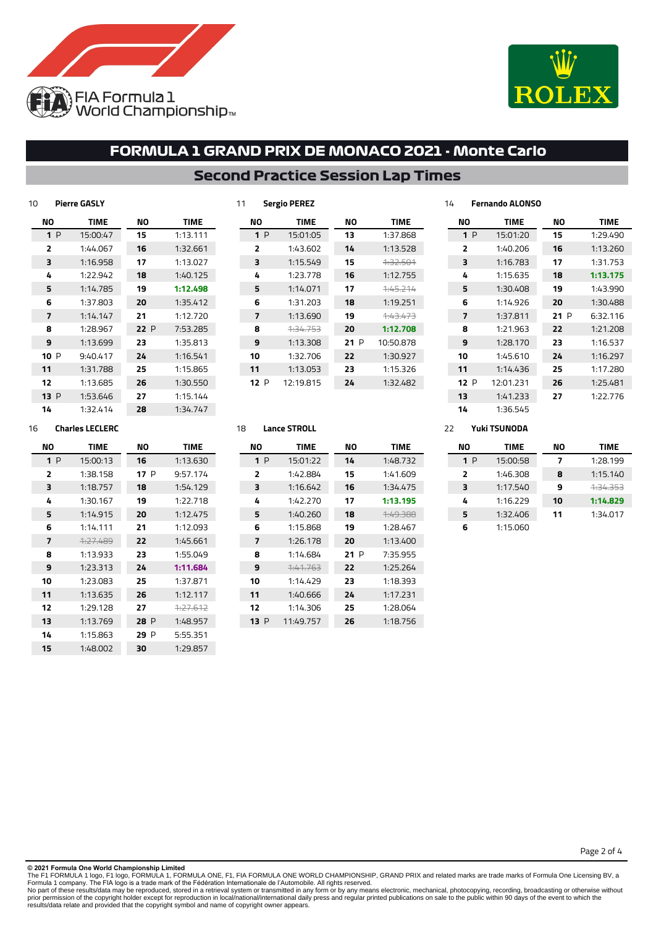



## **Second Practice Session Lap Times**

| 10 |                | <b>Pierre GASLY</b> |     |          |
|----|----------------|---------------------|-----|----------|
|    | ΝO             | <b>TIME</b>         | NΟ  | TIME     |
|    | 1P             | 15:00:47            | 15  | 1:13.111 |
|    | 2              | 1:44.067            | 16  | 1:32.661 |
|    | 3              | 1:16.958            | 17  | 1:13.027 |
|    | 4              | 1:22.942            | 18  | 1:40.125 |
|    | 5              | 1:14.785            | 19  | 1:12.498 |
|    | 6              | 1:37.803            | 20  | 1:35.412 |
|    | $\overline{7}$ | 1:14.147            | 21  | 1:12.720 |
|    | 8              | 1:28.967            | 22P | 7:53.285 |
|    | 9              | 1:13.699            | 23  | 1:35.813 |
|    | 10 P           | 9:40.417            | 24  | 1:16.541 |
|    | 11             | 1:31.788            | 25  | 1:15.865 |
|    | 12             | 1:13.685            | 26  | 1:30.550 |
|    | 13P            | 1:53.646            | 27  | 1:15.144 |
|    | 14             | 1:32.414            | 28  | 1:34.747 |

| NΟ   | <b>TIME</b> | NΟ  | <b>TIME</b>         |
|------|-------------|-----|---------------------|
| 1P   | 15:01:05    | 13  | 1:37.868            |
| 2    | 1:43.602    | 14  | 1:13.528            |
| 3    | 1:15.549    | 15  | <del>1:32.501</del> |
| 4    | 1:23.778    | 16  | 1:12.755            |
| 5    | 1:14.071    | 17  | <del>1:45.214</del> |
| 6    | 1:31.203    | 18  | 1:19.251            |
| 7    | 1:13.690    | 19  | 1:43.473            |
| 8    | 1.34.753    | 20  | 1:12.708            |
| 9    | 1:13.308    | 21P | 10:50.878           |
| 10   | 1:32.706    | 22  | 1:30.927            |
| 11   | 1:13.053    | 23  | 1:15.326            |
| 12 P | 12:19.815   | 24  | 1:32.482            |
|      |             |     |                     |

| 14  | Fernando ALONSO |      |          |
|-----|-----------------|------|----------|
| NΟ  | <b>TIME</b>     | NΟ   | TIME     |
| 1P  | 15:01:20        | 15   | 1:29.490 |
| 2   | 1:40.206        | 16   | 1:13.260 |
| 3   | 1:16.783        | 17   | 1:31.753 |
| 4   | 1:15.635        | 18   | 1:13.175 |
| 5   | 1:30.408        | 19   | 1:43.990 |
| 6   | 1:14.926        | 20   | 1:30.488 |
| 7   | 1:37.811        | 21 P | 6:32.116 |
| 8   | 1:21.963        | 22   | 1:21.208 |
| 9   | 1:28.170        | 23   | 1:16.537 |
| 10  | 1:45.610        | 24   | 1:16.297 |
| 11  | 1:14.436        | 25   | 1:17.280 |
| 12P | 12:01.231       | 26   | 1:25.481 |
| 13  | 1:41.233        | 27   | 1:22.776 |
| 14  | 1:36.545        |      |          |

#### **Charles LECLERC**

| NΟ | <b>TIME</b> | NΟ   | <b>TIME</b> |
|----|-------------|------|-------------|
| 1P | 15:00:13    | 16   | 1:13.630    |
| 2  | 1:38.158    | 17 P | 9:57.174    |
| 3  | 1:18.757    | 18   | 1:54.129    |
| 4  | 1:30.167    | 19   | 1:22.718    |
| 5  | 1:14.915    | 20   | 1:12.475    |
| 6  | 1:14.111    | 21   | 1:12.093    |
| 7  | 1:27.489    | 22   | 1:45.661    |
| я  | 1:13.933    | 23   | 1:55.049    |
| 9  | 1:23.313    | 24   | 1:11.684    |
| 10 | 1:23.083    | 25   | 1:37.871    |
| 11 | 1:13.635    | 26   | 1:12.117    |
| 12 | 1:29.128    | 27   | 7.77612     |
| 13 | 1:13.769    | 28 P | 1:48.957    |
| 14 | 1:15.863    | 29 P | 5:55.351    |
| 15 | 1:48.002    | 30   | 1:29.857    |

#### **Lance STROLL**

**Sergio PEREZ**

| NΟ             | <b>TIME</b>         | NΟ  | TIME     |
|----------------|---------------------|-----|----------|
| 1P             | 15:01:22            | 14  | 1:48.732 |
| $\overline{2}$ | 1:42.884            | 15  | 1:41.609 |
| 3              | 1:16.642            | 16  | 1:34.475 |
| 4              | 1:42.270            | 17  | 1:13.195 |
| 5              | 1:40.260            | 18  | 4:49.388 |
| 6              | 1:15.868            | 19  | 1:28.467 |
| 7              | 1:26.178            | 20  | 1:13.400 |
| 8              | 1:14.684            | 21P | 7:35.955 |
| 9              | <del>1:41.763</del> | 22  | 1:25.264 |
| 10             | 1:14.429            | 23  | 1:18.393 |
| 11             | 1:40.666            | 24  | 1:17.231 |
| 12             | 1:14.306            | 25  | 1:28.064 |
| 13 P           | 11:49.757           | 26  | 1:18.756 |
|                |                     |     |          |

#### **Yuki TSUNODA**

| NΟ  | <b>TIME</b> | NΟ | TIME             |
|-----|-------------|----|------------------|
| 1 P | 15:00:58    | 7  | 1:28.199         |
| 2   | 1:46.308    | 8  | 1:15.140         |
| 3   | 1:17.540    | 9  | <u> 1.34 353</u> |
| 4   | 1:16.229    | 10 | 1:14.829         |
| 5   | 1:32.406    | 11 | 1:34.017         |
| 6   | 1:15.060    |    |                  |

Page 2 of 4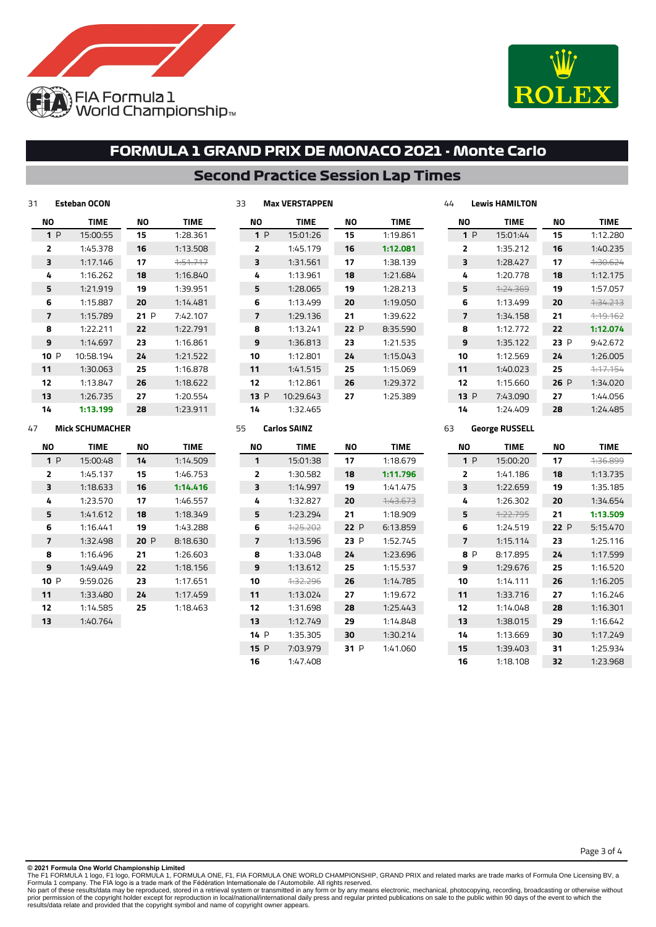



### **Second Practice Session Lap Times**

**Max VERSTAPPEN**

| 31 |      | <b>Esteban OCON</b> |     |          |
|----|------|---------------------|-----|----------|
|    | ΝO   | <b>TIME</b>         | ΝO  | TIME     |
|    | 1P   | 15:00:55            | 15  | 1:28.361 |
|    | 2    | 1:45.378            | 16  | 1:13.508 |
|    | 3    | 1:17.146            | 17  | 1:51.717 |
|    | 4    | 1:16.262            | 18  | 1:16.840 |
|    | 5    | 1:21.919            | 19  | 1:39.951 |
|    | 6    | 1:15.887            | 20  | 1:14.481 |
|    | 7    | 1:15.789            | 21P | 7:42.107 |
|    | 8    | 1:22.211            | 22  | 1:22.791 |
|    | 9    | 1:14.697            | 23  | 1:16.861 |
|    | 10 P | 10:58.194           | 24  | 1:21.522 |
|    | 11   | 1:30.063            | 25  | 1:16.878 |
|    | 12   | 1:13.847            | 26  | 1:18.622 |
|    | 13   | 1:26.735            | 27  | 1:20.554 |
|    | 14   | 1:13.199            | 28  | 1:23.911 |

| NΟ   | <b>TIME</b> | NΟ  | TIME     |
|------|-------------|-----|----------|
| 1P   | 15:01:26    | 15  | 1:19.861 |
| 2    | 1:45.179    | 16  | 1:12.081 |
| з    | 1:31.561    | 17  | 1:38.139 |
| 4    | 1:13.961    | 18  | 1:21.684 |
| 5    | 1:28.065    | 19  | 1:28.213 |
| 6    | 1:13.499    | 20  | 1:19.050 |
| 7    | 1:29.136    | 21  | 1:39.622 |
| 8    | 1:13.241    | 22P | 8:35.590 |
| 9    | 1:36.813    | 23  | 1:21.535 |
| 10   | 1:12.801    | 24  | 1:15.043 |
| 11   | 1:41.515    | 25  | 1:15.069 |
| 12   | 1:12.861    | 26  | 1:29.372 |
| 13 P | 10:29.643   | 27  | 1:25.389 |
| 14   | 1:32.465    |     |          |

|                | = VV I Ə I I MIYI I LI V I V |      |                     |
|----------------|------------------------------|------|---------------------|
| NΟ             | <b>TIME</b>                  | NΟ   | <b>TIME</b>         |
| 1P             | 15:01:44                     | 15   | 1:12.280            |
| $\overline{2}$ | 1:35.212                     | 16   | 1:40.235            |
| 3              | 1:28.427                     | 17   | 1:30.624            |
| 4              | 1:20.778                     | 18   | 1:12.175            |
| 5              | <del>1:24.369</del>          | 19   | 1:57.057            |
| 6              | 1:13.499                     | 20   | <u>1.34.213</u>     |
| 7              | 1:34.158                     | 21   | <del>1:19.162</del> |
| 8              | 1:12.772                     | 22   | 1:12.074            |
| 9              | 1:35.122                     | 23 P | 9:42.672            |
| 10             | 1:12.569                     | 24   | 1:26.005            |
| 11             | 1:40.023                     | 25   | <del>1:17.154</del> |
| 12             | 1:15.660                     | 26P  | 1:34.020            |
| 13P            | 7:43.090                     | 27   | 1:44.056            |
| 14             | 1:24.409                     | 28   | 1:24.485            |

#### **Mick SCHUMACHER**

| NΟ                       | <b>TIME</b> | NΟ  | <b>TIME</b> |  |
|--------------------------|-------------|-----|-------------|--|
| 1P                       | 15:00:48    | 14  | 1:14.509    |  |
| $\overline{2}$           | 1:45.137    | 15  | 1:46.753    |  |
| 3                        | 1:18.633    | 16  | 1:14.416    |  |
| 4                        | 1:23.570    | 17  | 1:46.557    |  |
| 5                        | 1:41.612    | 18  | 1:18.349    |  |
| 6                        | 1:16.441    | 19  | 1:43.288    |  |
| $\overline{\phantom{a}}$ | 1:32.498    | 20P | 8:18.630    |  |
| 8                        | 1:16.496    | 21  | 1:26.603    |  |
| 9                        | 1:49.449    | 22  | 1:18.156    |  |
| 10 P                     | 9:59.026    | 23  | 1:17.651    |  |
| 11                       | 1:33.480    | 24  | 1:17.459    |  |
| 12                       | 1:14.585    | 25  | 1:18.463    |  |
| 13                       | 1:40.764    |     |             |  |

| NΟ             | <b>TIME</b> | NΟ   | <b>TIME</b>         |  |
|----------------|-------------|------|---------------------|--|
| 1              | 15:01:38    | 17   | 1:18.679            |  |
| $\overline{2}$ | 1:30.582    | 18   | 1:11.796            |  |
| 3              | 1:14.997    | 19   | 1:41.475            |  |
| 4              | 1:32.827    | 20   | <del>1:43.673</del> |  |
| 5              | 1:23.294    | 21   | 1:18.909            |  |
| 6              | 4:25.202    | 22 P | 6:13.859            |  |
| 7              | 1:13.596    | 23 P | 1:52.745            |  |
| 8              | 1:33.048    | 24   | 1:23.696            |  |
| 9              | 1:13.612    | 25   | 1:15.537            |  |
| 10             | 1.32.296    | 26   | 1:14.785            |  |
| 11             | 1:13.024    | 27   | 1:19.672            |  |
| 12             | 1:31.698    | 28   | 1:25.443            |  |
| 13             | 1:12.749    | 29   | 1:14.848            |  |
| 14 P           | 1:35.305    | 30   | 1:30.214            |  |
| 15P            | 7:03.979    | 31 P | 1:41.060            |  |
| 16             | 1:47.408    |      |                     |  |

#### **George RUSSELL**

**Lewis HAMILTON**

| NΟ             | <b>TIME</b> | NΟ   | <b>TIME</b>         |
|----------------|-------------|------|---------------------|
| 1P             | 15:00:20    | 17   | <del>1:36.899</del> |
| $\overline{2}$ | 1:41.186    | 18   | 1:13.735            |
| 3              | 1:22.659    | 19   | 1:35.185            |
| 4              | 1:26.302    | 20   | 1:34.654            |
| 5              | 4.22.795    | 21   | 1:13.509            |
| 6              | 1:24.519    | 22 P | 5:15.470            |
| 7              | 1:15.114    | 23   | 1:25.116            |
| <b>RP</b>      | 8:17.895    | 24   | 1:17.599            |
| 9              | 1:29.676    | 25   | 1:16.520            |
| 10             | 1:14.111    | 26   | 1:16.205            |
| 11             | 1:33.716    | 27   | 1:16.246            |
| 12             | 1:14.048    | 28   | 1:16.301            |
| 13             | 1:38.015    | 29   | 1:16.642            |
| 14             | 1:13.669    | 30   | 1:17.749            |
| 15             | 1:39.403    | 31   | 1:25.934            |
| 16             | 1:18.108    | 32   | 1:23.968            |

**© 2021 Formula One World Championship Limited**